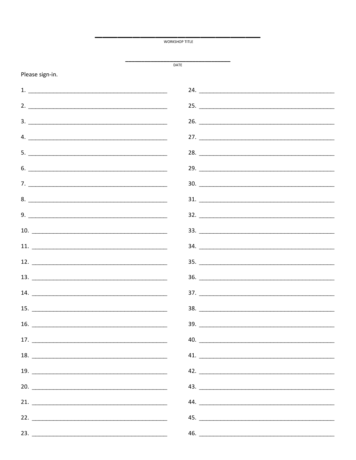**WORKSHOP TITLE** 

DATE

Please sign-in.

## $24.$  $2.$  $3.$ 26.  $\mathbf{4.}$ 27.  $28.$  $5.$ 29. 30. 8.  $31.$  $9.$  $32.$ **10.** The contract of the contract of the contract of the contract of the contract of the contract of the contract of the contract of the contract of the contract of the contract of the contract of the contract of the cont  $33.$ 11.  $34.$ 12.  $\qquad \qquad$  $35.$  $14.$ 38.  $15.$  $16.$  $39.$  $17.$   $\frac{1}{2}$   $\frac{1}{2}$   $\frac{1}{2}$   $\frac{1}{2}$   $\frac{1}{2}$   $\frac{1}{2}$   $\frac{1}{2}$   $\frac{1}{2}$   $\frac{1}{2}$   $\frac{1}{2}$   $\frac{1}{2}$   $\frac{1}{2}$   $\frac{1}{2}$   $\frac{1}{2}$   $\frac{1}{2}$   $\frac{1}{2}$   $\frac{1}{2}$   $\frac{1}{2}$   $\frac{1}{2}$   $\frac{1}{2}$   $\frac{1}{2}$   $\frac{1$ **18.** The contract of the contract of the contract of the contract of the contract of the contract of the contract of the contract of the contract of the contract of the contract of the contract of the contract of the cont 41.  $19.$  $43.$  $20.$  $21.$  $44.$  $22.$  $23.$  $46.$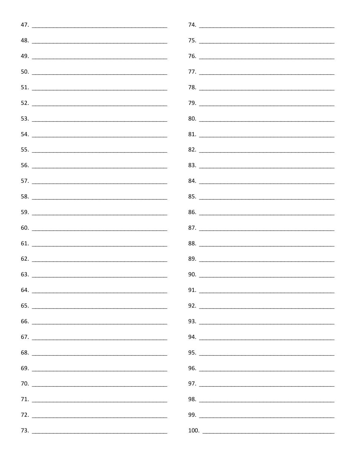| 47. $\overline{\phantom{a}}$   |
|--------------------------------|
| 48. $\overline{\phantom{a}}$   |
| 49. $\qquad \qquad$            |
| 50.                            |
|                                |
|                                |
|                                |
| 54.                            |
|                                |
|                                |
| 57. $\overline{\phantom{a}}$   |
|                                |
|                                |
| $60.$ $\overline{\phantom{a}}$ |
| $61.$ $\qquad \qquad$          |
| 62. $\qquad \qquad$            |
| 63. $\overline{\phantom{a}}$   |
|                                |
| 65. $\qquad \qquad$            |
|                                |
| 67. $\qquad \qquad$            |
|                                |
|                                |
|                                |
| 71.                            |
|                                |
|                                |

| 74. |
|-----|
|     |
|     |
|     |
|     |
|     |
| 80. |
| 81. |
| 82. |
|     |
|     |
|     |
|     |
|     |
|     |
|     |
|     |
| 91. |
|     |
|     |
|     |
|     |
|     |
|     |
|     |
|     |
|     |